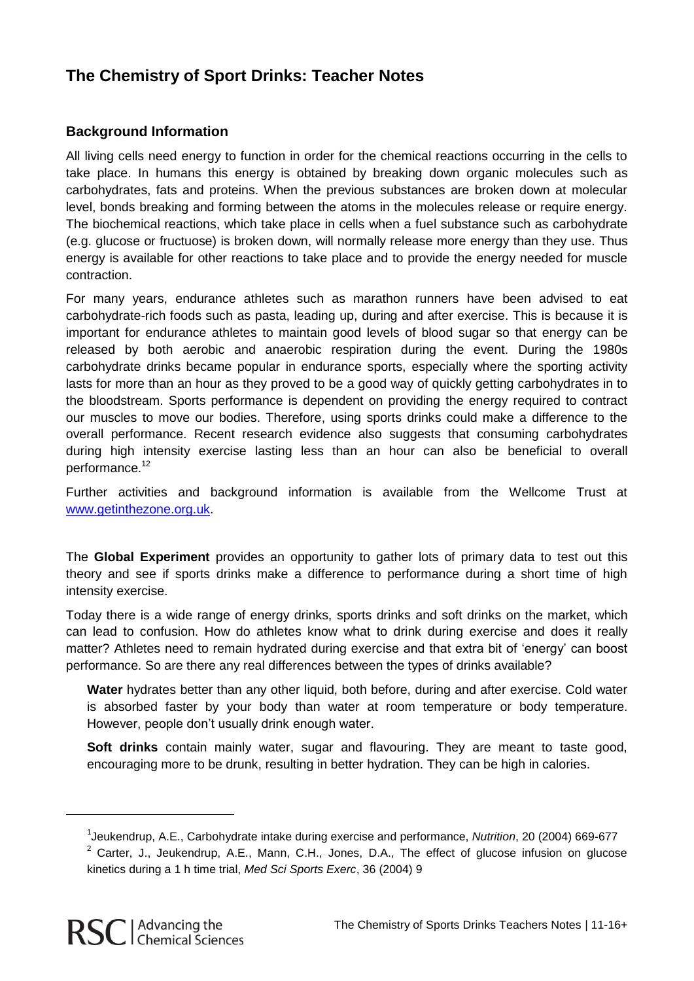# **The Chemistry of Sport Drinks: Teacher Notes**

# **Background Information**

All living cells need energy to function in order for the chemical reactions occurring in the cells to take place. In humans this energy is obtained by breaking down organic molecules such as carbohydrates, fats and proteins. When the previous substances are broken down at molecular level, bonds breaking and forming between the atoms in the molecules release or require energy. The biochemical reactions, which take place in cells when a fuel substance such as carbohydrate (e.g. glucose or fructuose) is broken down, will normally release more energy than they use. Thus energy is available for other reactions to take place and to provide the energy needed for muscle contraction.

For many years, endurance athletes such as marathon runners have been advised to eat carbohydrate-rich foods such as pasta, leading up, during and after exercise. This is because it is important for endurance athletes to maintain good levels of blood sugar so that energy can be released by both aerobic and anaerobic respiration during the event. During the 1980s carbohydrate drinks became popular in endurance sports, especially where the sporting activity lasts for more than an hour as they proved to be a good way of quickly getting carbohydrates in to the bloodstream. Sports performance is dependent on providing the energy required to contract our muscles to move our bodies. Therefore, using sports drinks could make a difference to the overall performance. Recent research evidence also suggests that consuming carbohydrates during high intensity exercise lasting less than an hour can also be beneficial to overall performance.<sup>12</sup>

Further activities and background information is available from the Wellcome Trust at [www.getinthezone.org.uk.](http://www.getinthezone.org.uk/)

The **Global Experiment** provides an opportunity to gather lots of primary data to test out this theory and see if sports drinks make a difference to performance during a short time of high intensity exercise.

Today there is a wide range of energy drinks, sports drinks and soft drinks on the market, which can lead to confusion. How do athletes know what to drink during exercise and does it really matter? Athletes need to remain hydrated during exercise and that extra bit of 'energy' can boost performance. So are there any real differences between the types of drinks available?

**Water** hydrates better than any other liquid, both before, during and after exercise. Cold water is absorbed faster by your body than water at room temperature or body temperature. However, people don't usually drink enough water.

**Soft drinks** contain mainly water, sugar and flavouring. They are meant to taste good, encouraging more to be drunk, resulting in better hydration. They can be high in calories.

1

<sup>1</sup> Jeukendrup, A.E., Carbohydrate intake during exercise and performance, *Nutrition*, 20 (2004) 669-677 <sup>2</sup> Carter, J., Jeukendrup, A.E., Mann, C.H., Jones, D.A., The effect of glucose infusion on glucose kinetics during a 1 h time trial, *Med Sci Sports Exerc*, 36 (2004) 9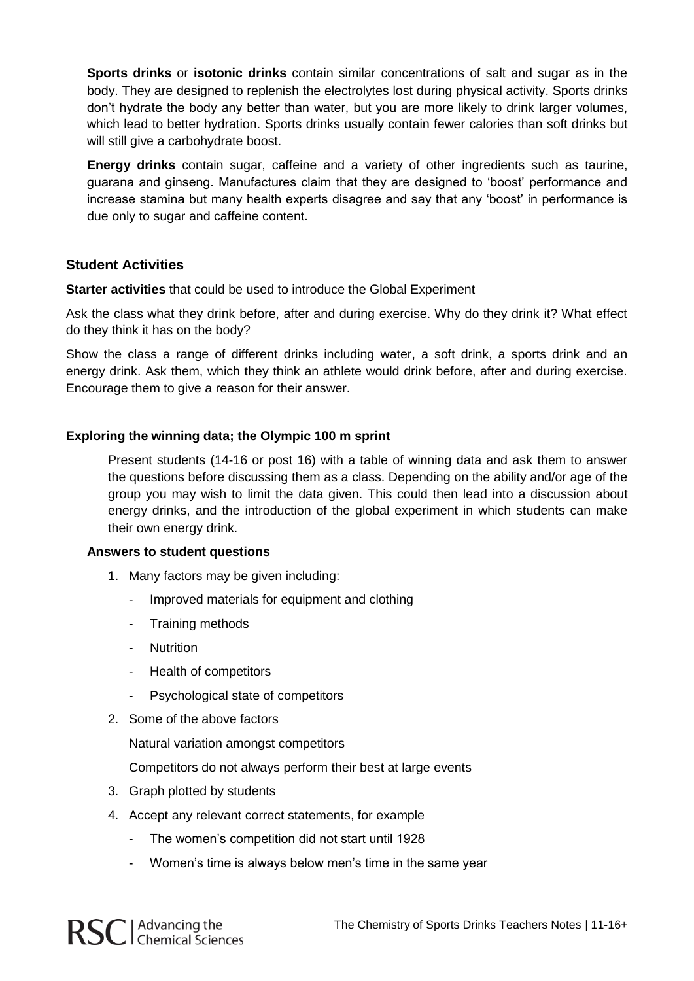**Sports drinks** or **isotonic drinks** contain similar concentrations of salt and sugar as in the body. They are designed to replenish the electrolytes lost during physical activity. Sports drinks don't hydrate the body any better than water, but you are more likely to drink larger volumes, which lead to better hydration. Sports drinks usually contain fewer calories than soft drinks but will still give a carbohydrate boost.

**Energy drinks** contain sugar, caffeine and a variety of other ingredients such as taurine, guarana and ginseng. Manufactures claim that they are designed to 'boost' performance and increase stamina but many health experts disagree and say that any 'boost' in performance is due only to sugar and caffeine content.

## **Student Activities**

**Starter activities** that could be used to introduce the Global Experiment

Ask the class what they drink before, after and during exercise. Why do they drink it? What effect do they think it has on the body?

Show the class a range of different drinks including water, a soft drink, a sports drink and an energy drink. Ask them, which they think an athlete would drink before, after and during exercise. Encourage them to give a reason for their answer.

#### **Exploring the winning data; the Olympic 100 m sprint**

Present students (14-16 or post 16) with a table of winning data and ask them to answer the questions before discussing them as a class. Depending on the ability and/or age of the group you may wish to limit the data given. This could then lead into a discussion about energy drinks, and the introduction of the global experiment in which students can make their own energy drink.

#### **Answers to student questions**

- 1. Many factors may be given including:
	- Improved materials for equipment and clothing
	- Training methods
	- **Nutrition**

RSC | Advancing the<br>RSC | Chemical Sciences

- Health of competitors
- Psychological state of competitors
- 2. Some of the above factors

Natural variation amongst competitors

Competitors do not always perform their best at large events

- 3. Graph plotted by students
- 4. Accept any relevant correct statements, for example
	- The women's competition did not start until 1928
	- Women's time is always below men's time in the same year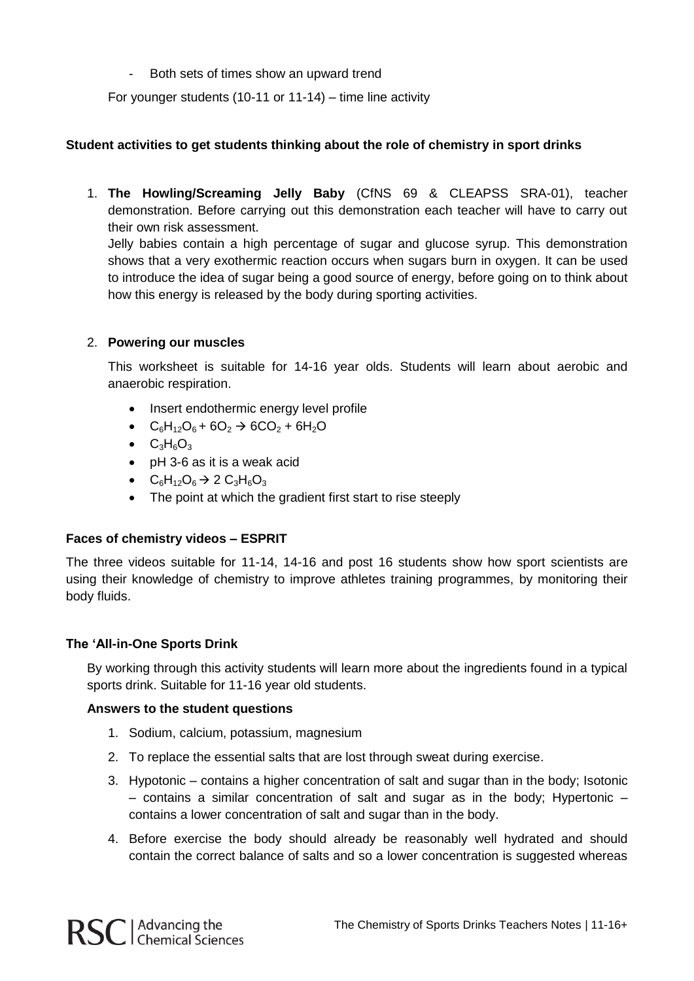Both sets of times show an upward trend

For younger students (10-11 or 11-14) – time line activity

## **Student activities to get students thinking about the role of chemistry in sport drinks**

1. **The Howling/Screaming Jelly Baby** (CfNS 69 & CLEAPSS SRA-01), teacher demonstration. Before carrying out this demonstration each teacher will have to carry out their own risk assessment.

Jelly babies contain a high percentage of sugar and glucose syrup. This demonstration shows that a very exothermic reaction occurs when sugars burn in oxygen. It can be used to introduce the idea of sugar being a good source of energy, before going on to think about how this energy is released by the body during sporting activities.

#### 2. **Powering our muscles**

This worksheet is suitable for 14-16 year olds. Students will learn about aerobic and anaerobic respiration.

- Insert endothermic energy level profile
- $C_6H_{12}O_6 + 6O_2 \rightarrow 6CO_2 + 6H_2O$
- $\bullet$   $C_3H_6O_3$
- pH 3-6 as it is a weak acid
- $\bullet$  C<sub>6</sub>H<sub>12</sub>O<sub>6</sub>  $\rightarrow$  2 C<sub>3</sub>H<sub>6</sub>O<sub>3</sub>
- The point at which the gradient first start to rise steeply

## **Faces of chemistry videos – ESPRIT**

The three videos suitable for 11-14, 14-16 and post 16 students show how sport scientists are using their knowledge of chemistry to improve athletes training programmes, by monitoring their body fluids.

#### **The 'All-in-One Sports Drink**

By working through this activity students will learn more about the ingredients found in a typical sports drink. Suitable for 11-16 year old students.

#### **Answers to the student questions**

- 1. Sodium, calcium, potassium, magnesium
- 2. To replace the essential salts that are lost through sweat during exercise.
- 3. Hypotonic contains a higher concentration of salt and sugar than in the body; Isotonic – contains a similar concentration of salt and sugar as in the body; Hypertonic – contains a lower concentration of salt and sugar than in the body.
- 4. Before exercise the body should already be reasonably well hydrated and should contain the correct balance of salts and so a lower concentration is suggested whereas